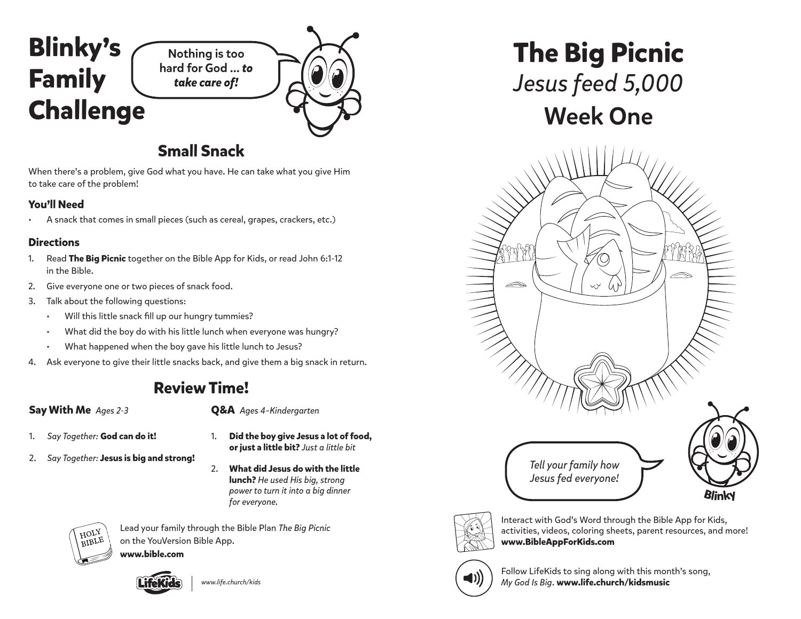

## **Small Snack**

When there's a problem, give God what you have. He can take what you give Him to take care of the problem!

### **You'll Need**

• A snack that comes in small pieces (such as cereal, grapes, crackers, etc.)

#### **Directions**

- 1. Read **The Big Picnic** together on the Bible App for Kids, or read John 6:1-12 in the Bible.
- 2. Give everyone one or two pieces of snack food.
- 3. Talk about the following questions:
	- Will this little snack fill up our hungry tummies?
	- What did the boy do with his little lunch when everyone was hungry?
	- What happened when the boy gave his little lunch to Jesus?
- 4. Ask everyone to give their little snacks back, and give them a big snack in return.

# **Review Time!**

#### **Say With Me** *Ages 2-3*

**Q&A** *Ages 4–Kindergarten*

- 1. *Say Together:* **God can do it!**
- 2. *Say Together:* **Jesus is big and strong!**
- 1. **Did the boy give Jesus a lot of food, or just a little bit?** *Just a little bit*
- 2. **What did Jesus do with the little lunch?** *He used His big, strong power to turn it into a big dinner for everyone.*



Lead your family through the Bible Plan *The Big Picnic*  on the YouVersion Bible App.

**www.bible.com**



*www.life.church/kids*

**The Big Picnic** *Jesus feed 5,000* Week One





Interact with God's Word through the Bible App for Kids, activities, videos, coloring sheets, parent resources, and more! **www.BibleAppForKids.com**



Follow LifeKids to sing along with this month's song, *My God Is Big*. **www.life.church/kidsmusic**